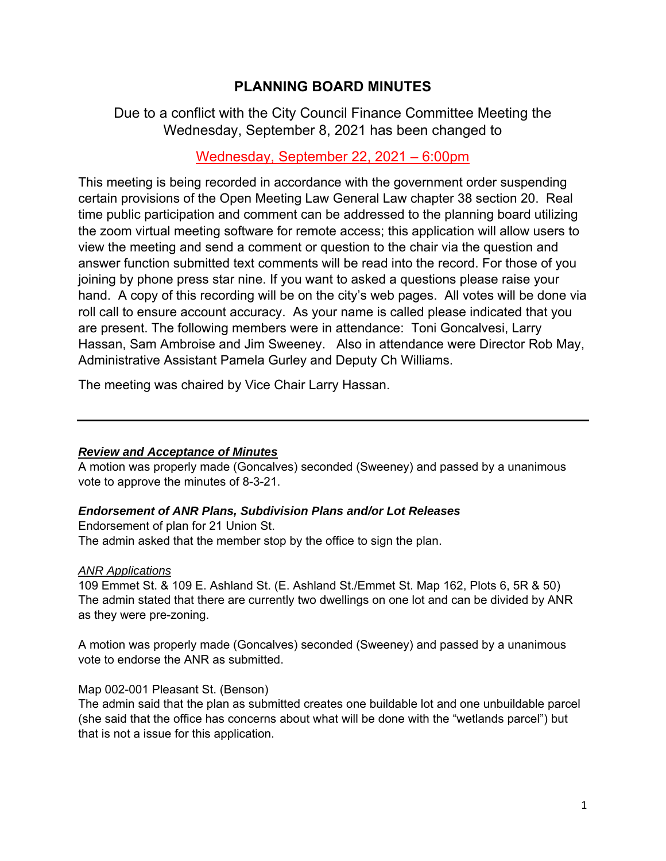# **PLANNING BOARD MINUTES**

# Due to a conflict with the City Council Finance Committee Meeting the Wednesday, September 8, 2021 has been changed to

### Wednesday, September 22, 2021 – 6:00pm

This meeting is being recorded in accordance with the government order suspending certain provisions of the Open Meeting Law General Law chapter 38 section 20. Real time public participation and comment can be addressed to the planning board utilizing the zoom virtual meeting software for remote access; this application will allow users to view the meeting and send a comment or question to the chair via the question and answer function submitted text comments will be read into the record. For those of you joining by phone press star nine. If you want to asked a questions please raise your hand. A copy of this recording will be on the city's web pages. All votes will be done via roll call to ensure account accuracy. As your name is called please indicated that you are present. The following members were in attendance: Toni Goncalvesi, Larry Hassan, Sam Ambroise and Jim Sweeney. Also in attendance were Director Rob May, Administrative Assistant Pamela Gurley and Deputy Ch Williams.

The meeting was chaired by Vice Chair Larry Hassan.

#### *Review and Acceptance of Minutes*

A motion was properly made (Goncalves) seconded (Sweeney) and passed by a unanimous vote to approve the minutes of 8-3-21.

#### *Endorsement of ANR Plans, Subdivision Plans and/or Lot Releases*

Endorsement of plan for 21 Union St. The admin asked that the member stop by the office to sign the plan.

#### *ANR Applications*

109 Emmet St. & 109 E. Ashland St. (E. Ashland St./Emmet St. Map 162, Plots 6, 5R & 50) The admin stated that there are currently two dwellings on one lot and can be divided by ANR as they were pre-zoning.

A motion was properly made (Goncalves) seconded (Sweeney) and passed by a unanimous vote to endorse the ANR as submitted.

### Map 002-001 Pleasant St. (Benson)

The admin said that the plan as submitted creates one buildable lot and one unbuildable parcel (she said that the office has concerns about what will be done with the "wetlands parcel") but that is not a issue for this application.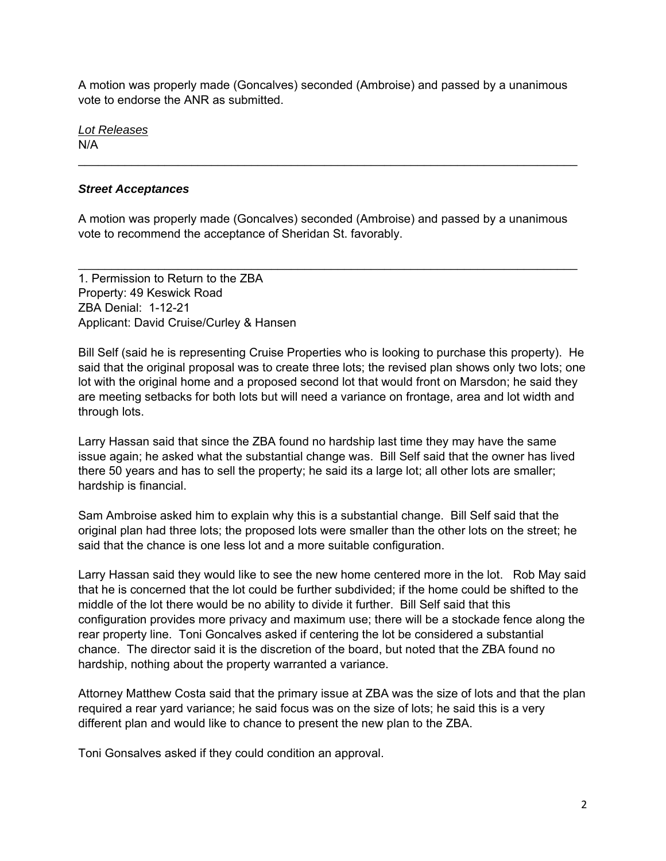A motion was properly made (Goncalves) seconded (Ambroise) and passed by a unanimous vote to endorse the ANR as submitted.

*Lot Releases* 

N/A

### *Street Acceptances*

A motion was properly made (Goncalves) seconded (Ambroise) and passed by a unanimous vote to recommend the acceptance of Sheridan St. favorably.

 $\mathcal{L}_\text{max}$  and  $\mathcal{L}_\text{max}$  and  $\mathcal{L}_\text{max}$  and  $\mathcal{L}_\text{max}$  and  $\mathcal{L}_\text{max}$  and  $\mathcal{L}_\text{max}$ 

 $\mathcal{L}_\text{max}$  and  $\mathcal{L}_\text{max}$  and  $\mathcal{L}_\text{max}$  and  $\mathcal{L}_\text{max}$  and  $\mathcal{L}_\text{max}$  and  $\mathcal{L}_\text{max}$ 

1. Permission to Return to the ZBA Property: 49 Keswick Road ZBA Denial: 1-12-21 Applicant: David Cruise/Curley & Hansen

Bill Self (said he is representing Cruise Properties who is looking to purchase this property). He said that the original proposal was to create three lots; the revised plan shows only two lots; one lot with the original home and a proposed second lot that would front on Marsdon; he said they are meeting setbacks for both lots but will need a variance on frontage, area and lot width and through lots.

Larry Hassan said that since the ZBA found no hardship last time they may have the same issue again; he asked what the substantial change was. Bill Self said that the owner has lived there 50 years and has to sell the property; he said its a large lot; all other lots are smaller; hardship is financial.

Sam Ambroise asked him to explain why this is a substantial change. Bill Self said that the original plan had three lots; the proposed lots were smaller than the other lots on the street; he said that the chance is one less lot and a more suitable configuration.

Larry Hassan said they would like to see the new home centered more in the lot. Rob May said that he is concerned that the lot could be further subdivided; if the home could be shifted to the middle of the lot there would be no ability to divide it further. Bill Self said that this configuration provides more privacy and maximum use; there will be a stockade fence along the rear property line. Toni Goncalves asked if centering the lot be considered a substantial chance. The director said it is the discretion of the board, but noted that the ZBA found no hardship, nothing about the property warranted a variance.

Attorney Matthew Costa said that the primary issue at ZBA was the size of lots and that the plan required a rear yard variance; he said focus was on the size of lots; he said this is a very different plan and would like to chance to present the new plan to the ZBA.

Toni Gonsalves asked if they could condition an approval.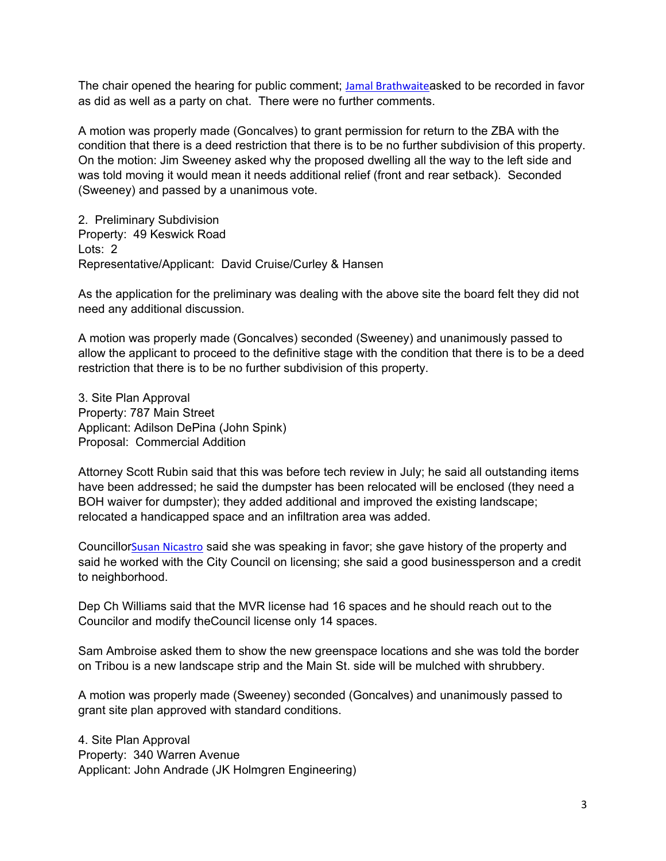The chair opened the hearing for public comment; Jamal Brathwaiteasked to be recorded in favor as did as well as a party on chat. There were no further comments.

A motion was properly made (Goncalves) to grant permission for return to the ZBA with the condition that there is a deed restriction that there is to be no further subdivision of this property. On the motion: Jim Sweeney asked why the proposed dwelling all the way to the left side and was told moving it would mean it needs additional relief (front and rear setback). Seconded (Sweeney) and passed by a unanimous vote.

2. Preliminary Subdivision Property: 49 Keswick Road Lots: 2 Representative/Applicant: David Cruise/Curley & Hansen

As the application for the preliminary was dealing with the above site the board felt they did not need any additional discussion.

A motion was properly made (Goncalves) seconded (Sweeney) and unanimously passed to allow the applicant to proceed to the definitive stage with the condition that there is to be a deed restriction that there is to be no further subdivision of this property.

3. Site Plan Approval Property: 787 Main Street Applicant: Adilson DePina (John Spink) Proposal: Commercial Addition

Attorney Scott Rubin said that this was before tech review in July; he said all outstanding items have been addressed; he said the dumpster has been relocated will be enclosed (they need a BOH waiver for dumpster); they added additional and improved the existing landscape; relocated a handicapped space and an infiltration area was added.

CouncillorSusan Nicastro said she was speaking in favor; she gave history of the property and said he worked with the City Council on licensing; she said a good businessperson and a credit to neighborhood.

Dep Ch Williams said that the MVR license had 16 spaces and he should reach out to the Councilor and modify theCouncil license only 14 spaces.

Sam Ambroise asked them to show the new greenspace locations and she was told the border on Tribou is a new landscape strip and the Main St. side will be mulched with shrubbery.

A motion was properly made (Sweeney) seconded (Goncalves) and unanimously passed to grant site plan approved with standard conditions.

4. Site Plan Approval Property: 340 Warren Avenue Applicant: John Andrade (JK Holmgren Engineering)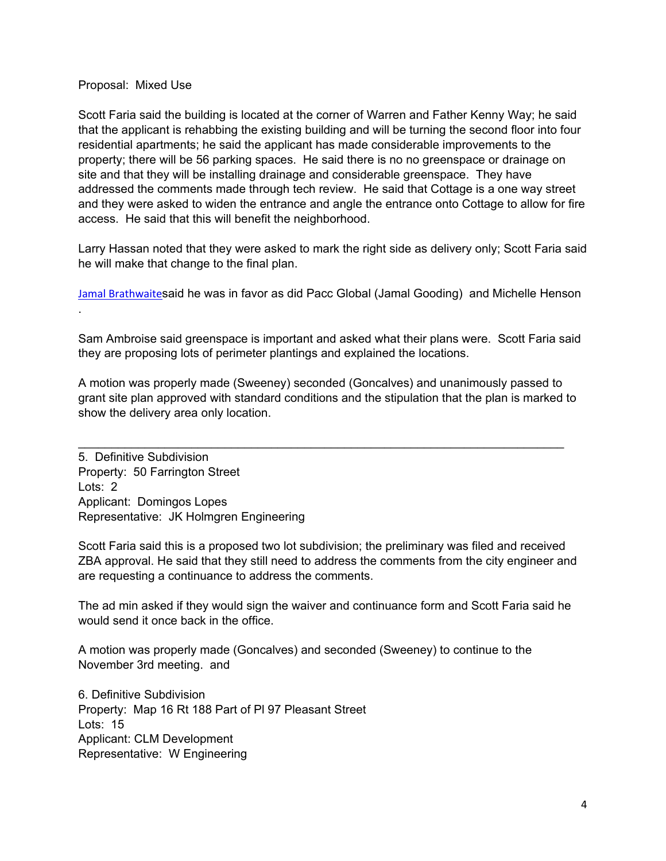#### Proposal: Mixed Use

Scott Faria said the building is located at the corner of Warren and Father Kenny Way; he said that the applicant is rehabbing the existing building and will be turning the second floor into four residential apartments; he said the applicant has made considerable improvements to the property; there will be 56 parking spaces. He said there is no no greenspace or drainage on site and that they will be installing drainage and considerable greenspace. They have addressed the comments made through tech review. He said that Cottage is a one way street and they were asked to widen the entrance and angle the entrance onto Cottage to allow for fire access. He said that this will benefit the neighborhood.

Larry Hassan noted that they were asked to mark the right side as delivery only; Scott Faria said he will make that change to the final plan.

Jamal Brathwaitesaid he was in favor as did Pacc Global (Jamal Gooding) and Michelle Henson .

Sam Ambroise said greenspace is important and asked what their plans were. Scott Faria said they are proposing lots of perimeter plantings and explained the locations.

A motion was properly made (Sweeney) seconded (Goncalves) and unanimously passed to grant site plan approved with standard conditions and the stipulation that the plan is marked to show the delivery area only location.

5. Definitive Subdivision Property: 50 Farrington Street Lots: 2 Applicant: Domingos Lopes Representative: JK Holmgren Engineering

Scott Faria said this is a proposed two lot subdivision; the preliminary was filed and received ZBA approval. He said that they still need to address the comments from the city engineer and are requesting a continuance to address the comments.

The ad min asked if they would sign the waiver and continuance form and Scott Faria said he would send it once back in the office.

A motion was properly made (Goncalves) and seconded (Sweeney) to continue to the November 3rd meeting. and

6. Definitive Subdivision Property: Map 16 Rt 188 Part of Pl 97 Pleasant Street Lots: 15 Applicant: CLM Development Representative: W Engineering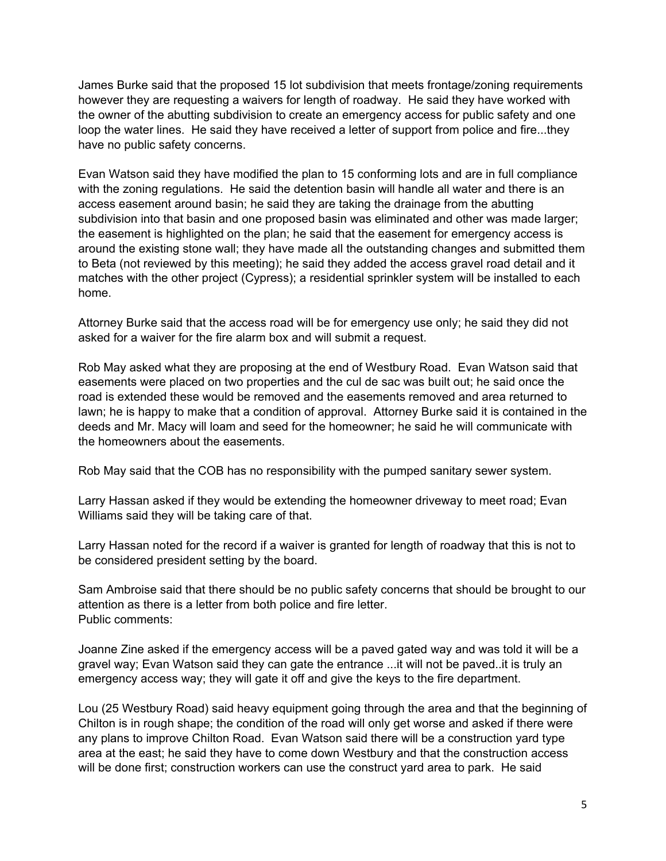James Burke said that the proposed 15 lot subdivision that meets frontage/zoning requirements however they are requesting a waivers for length of roadway. He said they have worked with the owner of the abutting subdivision to create an emergency access for public safety and one loop the water lines. He said they have received a letter of support from police and fire...they have no public safety concerns.

Evan Watson said they have modified the plan to 15 conforming lots and are in full compliance with the zoning regulations. He said the detention basin will handle all water and there is an access easement around basin; he said they are taking the drainage from the abutting subdivision into that basin and one proposed basin was eliminated and other was made larger; the easement is highlighted on the plan; he said that the easement for emergency access is around the existing stone wall; they have made all the outstanding changes and submitted them to Beta (not reviewed by this meeting); he said they added the access gravel road detail and it matches with the other project (Cypress); a residential sprinkler system will be installed to each home.

Attorney Burke said that the access road will be for emergency use only; he said they did not asked for a waiver for the fire alarm box and will submit a request.

Rob May asked what they are proposing at the end of Westbury Road. Evan Watson said that easements were placed on two properties and the cul de sac was built out; he said once the road is extended these would be removed and the easements removed and area returned to lawn; he is happy to make that a condition of approval. Attorney Burke said it is contained in the deeds and Mr. Macy will loam and seed for the homeowner; he said he will communicate with the homeowners about the easements.

Rob May said that the COB has no responsibility with the pumped sanitary sewer system.

Larry Hassan asked if they would be extending the homeowner driveway to meet road; Evan Williams said they will be taking care of that.

Larry Hassan noted for the record if a waiver is granted for length of roadway that this is not to be considered president setting by the board.

Sam Ambroise said that there should be no public safety concerns that should be brought to our attention as there is a letter from both police and fire letter. Public comments:

Joanne Zine asked if the emergency access will be a paved gated way and was told it will be a gravel way; Evan Watson said they can gate the entrance ...it will not be paved..it is truly an emergency access way; they will gate it off and give the keys to the fire department.

Lou (25 Westbury Road) said heavy equipment going through the area and that the beginning of Chilton is in rough shape; the condition of the road will only get worse and asked if there were any plans to improve Chilton Road. Evan Watson said there will be a construction yard type area at the east; he said they have to come down Westbury and that the construction access will be done first; construction workers can use the construct yard area to park. He said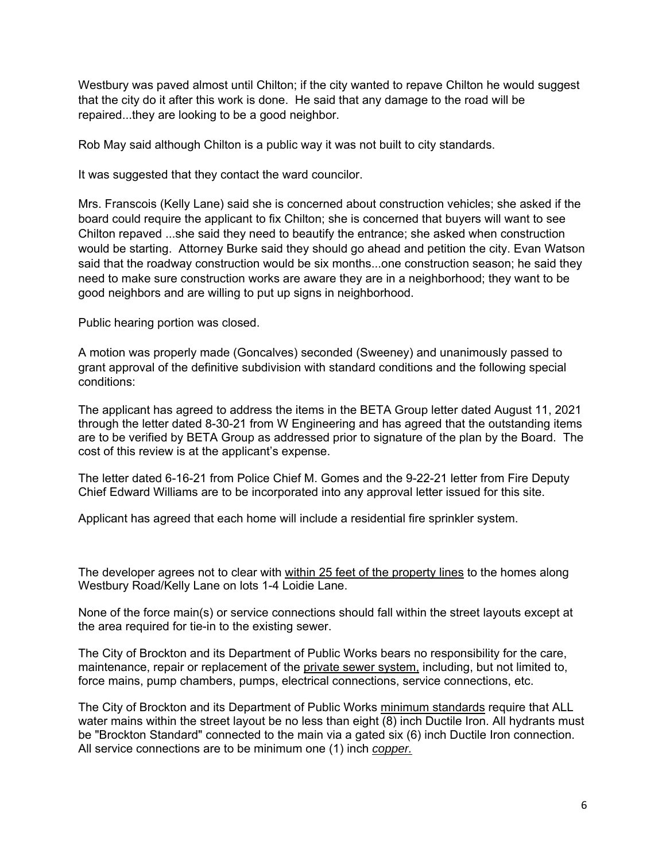Westbury was paved almost until Chilton; if the city wanted to repave Chilton he would suggest that the city do it after this work is done. He said that any damage to the road will be repaired...they are looking to be a good neighbor.

Rob May said although Chilton is a public way it was not built to city standards.

It was suggested that they contact the ward councilor.

Mrs. Franscois (Kelly Lane) said she is concerned about construction vehicles; she asked if the board could require the applicant to fix Chilton; she is concerned that buyers will want to see Chilton repaved ...she said they need to beautify the entrance; she asked when construction would be starting. Attorney Burke said they should go ahead and petition the city. Evan Watson said that the roadway construction would be six months...one construction season; he said they need to make sure construction works are aware they are in a neighborhood; they want to be good neighbors and are willing to put up signs in neighborhood.

Public hearing portion was closed.

A motion was properly made (Goncalves) seconded (Sweeney) and unanimously passed to grant approval of the definitive subdivision with standard conditions and the following special conditions:

The applicant has agreed to address the items in the BETA Group letter dated August 11, 2021 through the letter dated 8-30-21 from W Engineering and has agreed that the outstanding items are to be verified by BETA Group as addressed prior to signature of the plan by the Board. The cost of this review is at the applicant's expense.

The letter dated 6-16-21 from Police Chief M. Gomes and the 9-22-21 letter from Fire Deputy Chief Edward Williams are to be incorporated into any approval letter issued for this site.

Applicant has agreed that each home will include a residential fire sprinkler system.

The developer agrees not to clear with within 25 feet of the property lines to the homes along Westbury Road/Kelly Lane on lots 1-4 Loidie Lane.

None of the force main(s) or service connections should fall within the street layouts except at the area required for tie-in to the existing sewer.

The City of Brockton and its Department of Public Works bears no responsibility for the care, maintenance, repair or replacement of the private sewer system, including, but not limited to, force mains, pump chambers, pumps, electrical connections, service connections, etc.

 All service connections are to be minimum one (1) inch *copper.* The City of Brockton and its Department of Public Works minimum standards require that ALL water mains within the street layout be no less than eight (8) inch Ductile Iron. All hydrants must be "Brockton Standard" connected to the main via a gated six (6) inch Ductile Iron connection.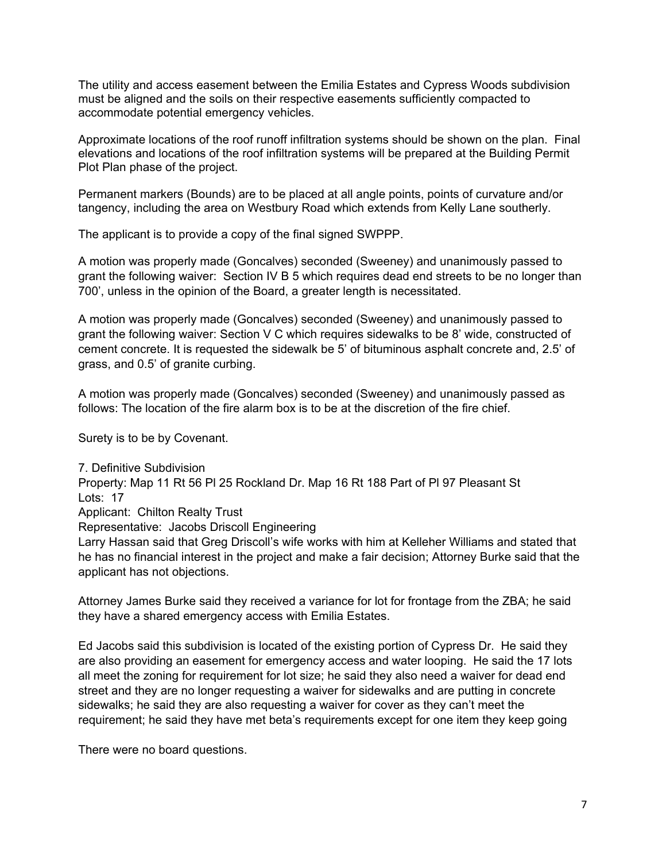The utility and access easement between the Emilia Estates and Cypress Woods subdivision must be aligned and the soils on their respective easements sufficiently compacted to accommodate potential emergency vehicles.

Approximate locations of the roof runoff infiltration systems should be shown on the plan. Final elevations and locations of the roof infiltration systems will be prepared at the Building Permit Plot Plan phase of the project.

Permanent markers (Bounds) are to be placed at all angle points, points of curvature and/or tangency, including the area on Westbury Road which extends from Kelly Lane southerly.

The applicant is to provide a copy of the final signed SWPPP.

A motion was properly made (Goncalves) seconded (Sweeney) and unanimously passed to grant the following waiver: Section IV B 5 which requires dead end streets to be no longer than 700', unless in the opinion of the Board, a greater length is necessitated.

A motion was properly made (Goncalves) seconded (Sweeney) and unanimously passed to grant the following waiver: Section V C which requires sidewalks to be 8' wide, constructed of cement concrete. It is requested the sidewalk be 5' of bituminous asphalt concrete and, 2.5' of grass, and 0.5' of granite curbing.

A motion was properly made (Goncalves) seconded (Sweeney) and unanimously passed as follows: The location of the fire alarm box is to be at the discretion of the fire chief.

Surety is to be by Covenant.

7. Definitive Subdivision Property: Map 11 Rt 56 Pl 25 Rockland Dr. Map 16 Rt 188 Part of Pl 97 Pleasant St Lots: 17 Applicant: Chilton Realty Trust Representative: Jacobs Driscoll Engineering Larry Hassan said that Greg Driscoll's wife works with him at Kelleher Williams and stated that he has no financial interest in the project and make a fair decision; Attorney Burke said that the applicant has not objections.

Attorney James Burke said they received a variance for lot for frontage from the ZBA; he said they have a shared emergency access with Emilia Estates.

Ed Jacobs said this subdivision is located of the existing portion of Cypress Dr. He said they are also providing an easement for emergency access and water looping. He said the 17 lots all meet the zoning for requirement for lot size; he said they also need a waiver for dead end street and they are no longer requesting a waiver for sidewalks and are putting in concrete sidewalks; he said they are also requesting a waiver for cover as they can't meet the requirement; he said they have met beta's requirements except for one item they keep going

There were no board questions.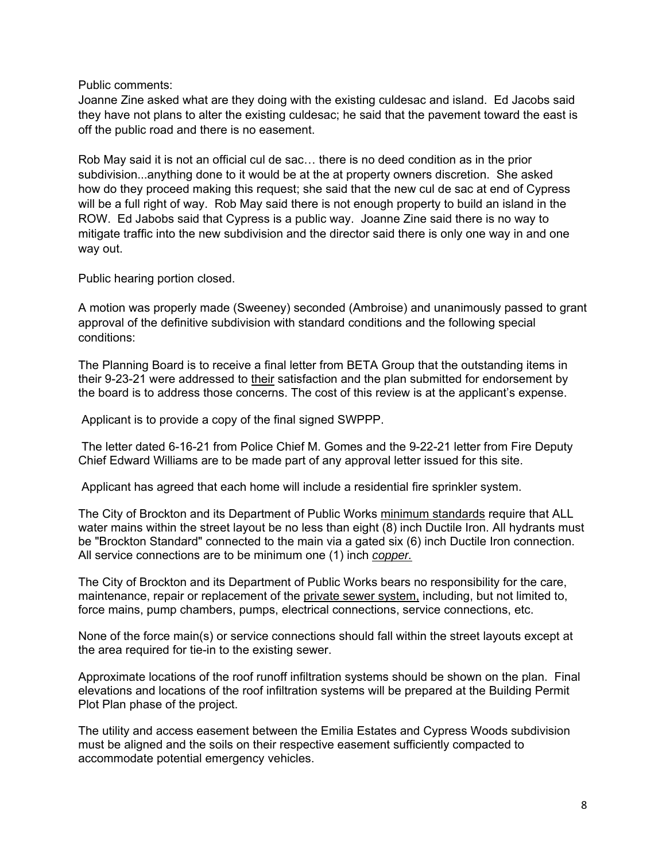Public comments:

Joanne Zine asked what are they doing with the existing culdesac and island. Ed Jacobs said they have not plans to alter the existing culdesac; he said that the pavement toward the east is off the public road and there is no easement.

Rob May said it is not an official cul de sac… there is no deed condition as in the prior subdivision...anything done to it would be at the at property owners discretion. She asked how do they proceed making this request; she said that the new cul de sac at end of Cypress will be a full right of way. Rob May said there is not enough property to build an island in the ROW. Ed Jabobs said that Cypress is a public way. Joanne Zine said there is no way to mitigate traffic into the new subdivision and the director said there is only one way in and one way out.

Public hearing portion closed.

A motion was properly made (Sweeney) seconded (Ambroise) and unanimously passed to grant approval of the definitive subdivision with standard conditions and the following special conditions:

The Planning Board is to receive a final letter from BETA Group that the outstanding items in their 9-23-21 were addressed to their satisfaction and the plan submitted for endorsement by the board is to address those concerns. The cost of this review is at the applicant's expense.

Applicant is to provide a copy of the final signed SWPPP.

 Chief Edward Williams are to be made part of any approval letter issued for this site. The letter dated 6-16-21 from Police Chief M. Gomes and the 9-22-21 letter from Fire Deputy

Applicant has agreed that each home will include a residential fire sprinkler system.

 All service connections are to be minimum one (1) inch *copper.* The City of Brockton and its Department of Public Works minimum standards require that ALL water mains within the street layout be no less than eight (8) inch Ductile Iron. All hydrants must be "Brockton Standard" connected to the main via a gated six (6) inch Ductile Iron connection.

The City of Brockton and its Department of Public Works bears no responsibility for the care, maintenance, repair or replacement of the private sewer system, including, but not limited to, force mains, pump chambers, pumps, electrical connections, service connections, etc.

None of the force main(s) or service connections should fall within the street layouts except at the area required for tie-in to the existing sewer.

Approximate locations of the roof runoff infiltration systems should be shown on the plan. Final elevations and locations of the roof infiltration systems will be prepared at the Building Permit Plot Plan phase of the project.

The utility and access easement between the Emilia Estates and Cypress Woods subdivision must be aligned and the soils on their respective easement sufficiently compacted to accommodate potential emergency vehicles.